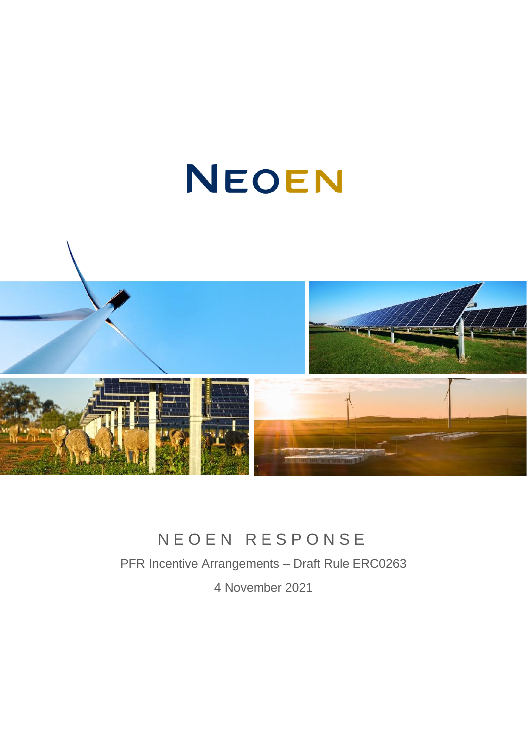# NEOEN



## N E O E N R E S P O N S E

PFR Incentive Arrangements – Draft Rule ERC0263

4 November 2021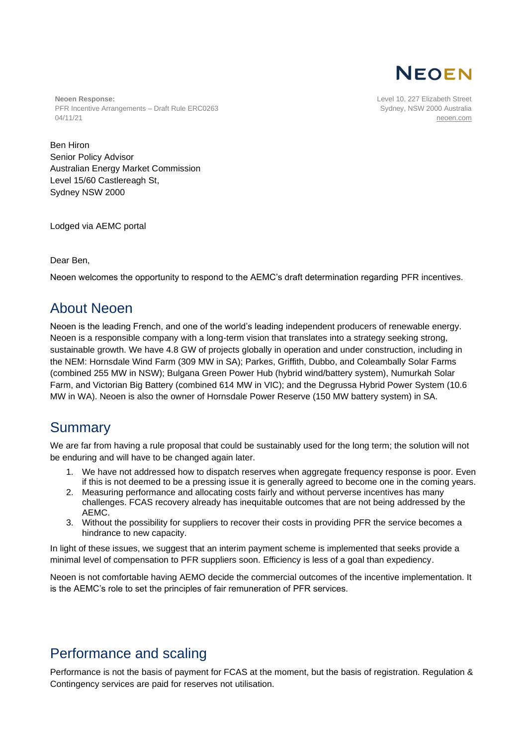

**Neoen Response:** PFR Incentive Arrangements – Draft Rule ERC0263 04/11/21

Level 10, 227 Elizabeth Street Sydney, NSW 2000 Australia [neoen.com](https://www.neoen.com/)

Ben Hiron Senior Policy Advisor Australian Energy Market Commission Level 15/60 Castlereagh St, Sydney NSW 2000

Lodged via AEMC portal

Dear Ben,

Neoen welcomes the opportunity to respond to the AEMC's draft determination regarding PFR incentives.

## About Neoen

Neoen is the leading French, and one of the world's leading independent producers of renewable energy. Neoen is a responsible company with a long-term vision that translates into a strategy seeking strong, sustainable growth. We have 4.8 GW of projects globally in operation and under construction, including in the NEM: Hornsdale Wind Farm (309 MW in SA); Parkes, Griffith, Dubbo, and Coleambally Solar Farms (combined 255 MW in NSW); Bulgana Green Power Hub (hybrid wind/battery system), Numurkah Solar Farm, and Victorian Big Battery (combined 614 MW in VIC); and the Degrussa Hybrid Power System (10.6 MW in WA). Neoen is also the owner of Hornsdale Power Reserve (150 MW battery system) in SA.

## **Summary**

We are far from having a rule proposal that could be sustainably used for the long term; the solution will not be enduring and will have to be changed again later.

- 1. We have not addressed how to dispatch reserves when aggregate frequency response is poor. Even if this is not deemed to be a pressing issue it is generally agreed to become one in the coming years.
- 2. Measuring performance and allocating costs fairly and without perverse incentives has many challenges. FCAS recovery already has inequitable outcomes that are not being addressed by the AEMC.
- 3. Without the possibility for suppliers to recover their costs in providing PFR the service becomes a hindrance to new capacity.

In light of these issues, we suggest that an interim payment scheme is implemented that seeks provide a minimal level of compensation to PFR suppliers soon. Efficiency is less of a goal than expediency.

Neoen is not comfortable having AEMO decide the commercial outcomes of the incentive implementation. It is the AEMC's role to set the principles of fair remuneration of PFR services.

## Performance and scaling

Performance is not the basis of payment for FCAS at the moment, but the basis of registration. Regulation & Contingency services are paid for reserves not utilisation.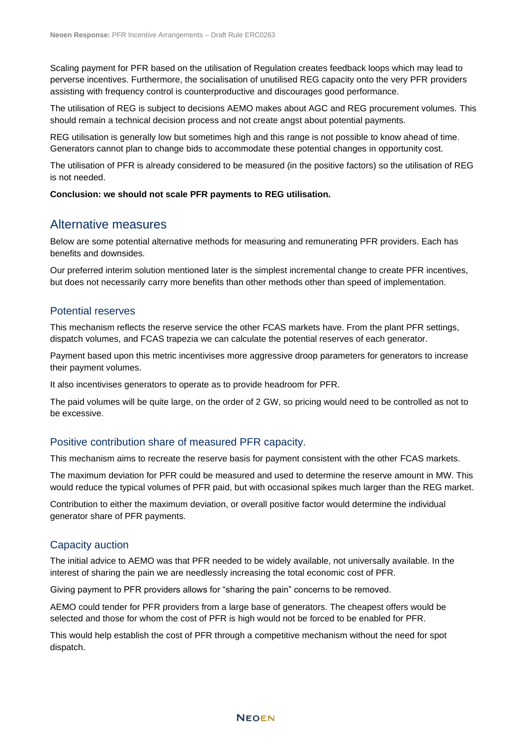Scaling payment for PFR based on the utilisation of Regulation creates feedback loops which may lead to perverse incentives. Furthermore, the socialisation of unutilised REG capacity onto the very PFR providers assisting with frequency control is counterproductive and discourages good performance.

The utilisation of REG is subject to decisions AEMO makes about AGC and REG procurement volumes. This should remain a technical decision process and not create angst about potential payments.

REG utilisation is generally low but sometimes high and this range is not possible to know ahead of time. Generators cannot plan to change bids to accommodate these potential changes in opportunity cost.

The utilisation of PFR is already considered to be measured (in the positive factors) so the utilisation of REG is not needed.

#### **Conclusion: we should not scale PFR payments to REG utilisation.**

#### Alternative measures

Below are some potential alternative methods for measuring and remunerating PFR providers. Each has benefits and downsides.

Our preferred interim solution mentioned later is the simplest incremental change to create PFR incentives, but does not necessarily carry more benefits than other methods other than speed of implementation.

#### Potential reserves

This mechanism reflects the reserve service the other FCAS markets have. From the plant PFR settings, dispatch volumes, and FCAS trapezia we can calculate the potential reserves of each generator.

Payment based upon this metric incentivises more aggressive droop parameters for generators to increase their payment volumes.

It also incentivises generators to operate as to provide headroom for PFR.

The paid volumes will be quite large, on the order of 2 GW, so pricing would need to be controlled as not to be excessive.

#### Positive contribution share of measured PFR capacity.

This mechanism aims to recreate the reserve basis for payment consistent with the other FCAS markets.

The maximum deviation for PFR could be measured and used to determine the reserve amount in MW. This would reduce the typical volumes of PFR paid, but with occasional spikes much larger than the REG market.

Contribution to either the maximum deviation, or overall positive factor would determine the individual generator share of PFR payments.

#### Capacity auction

The initial advice to AEMO was that PFR needed to be widely available, not universally available. In the interest of sharing the pain we are needlessly increasing the total economic cost of PFR.

Giving payment to PFR providers allows for "sharing the pain" concerns to be removed.

AEMO could tender for PFR providers from a large base of generators. The cheapest offers would be selected and those for whom the cost of PFR is high would not be forced to be enabled for PFR.

This would help establish the cost of PFR through a competitive mechanism without the need for spot dispatch.

**NEOEN**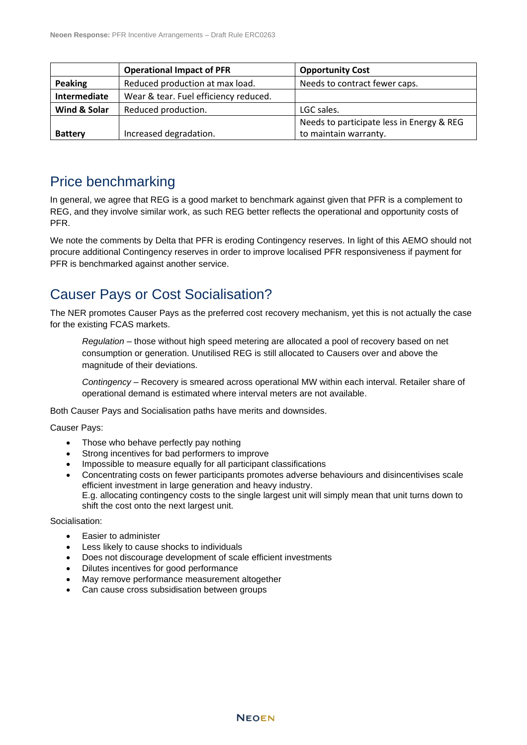|                | <b>Operational Impact of PFR</b>      | <b>Opportunity Cost</b>                   |
|----------------|---------------------------------------|-------------------------------------------|
| <b>Peaking</b> | Reduced production at max load.       | Needs to contract fewer caps.             |
| Intermediate   | Wear & tear. Fuel efficiency reduced. |                                           |
| Wind & Solar   | Reduced production.                   | LGC sales.                                |
|                |                                       | Needs to participate less in Energy & REG |
| <b>Battery</b> | Increased degradation.                | to maintain warranty.                     |

## Price benchmarking

In general, we agree that REG is a good market to benchmark against given that PFR is a complement to REG, and they involve similar work, as such REG better reflects the operational and opportunity costs of PFR.

We note the comments by Delta that PFR is eroding Contingency reserves. In light of this AEMO should not procure additional Contingency reserves in order to improve localised PFR responsiveness if payment for PFR is benchmarked against another service.

## Causer Pays or Cost Socialisation?

The NER promotes Causer Pays as the preferred cost recovery mechanism, yet this is not actually the case for the existing FCAS markets.

*Regulation* – those without high speed metering are allocated a pool of recovery based on net consumption or generation. Unutilised REG is still allocated to Causers over and above the magnitude of their deviations.

*Contingency* – Recovery is smeared across operational MW within each interval. Retailer share of operational demand is estimated where interval meters are not available.

Both Causer Pays and Socialisation paths have merits and downsides.

Causer Pays:

- Those who behave perfectly pay nothing
- Strong incentives for bad performers to improve
- Impossible to measure equally for all participant classifications
- Concentrating costs on fewer participants promotes adverse behaviours and disincentivises scale efficient investment in large generation and heavy industry. E.g. allocating contingency costs to the single largest unit will simply mean that unit turns down to

Socialisation:

- Easier to administer
- Less likely to cause shocks to individuals

shift the cost onto the next largest unit.

- Does not discourage development of scale efficient investments
- Dilutes incentives for good performance
- May remove performance measurement altogether
- Can cause cross subsidisation between groups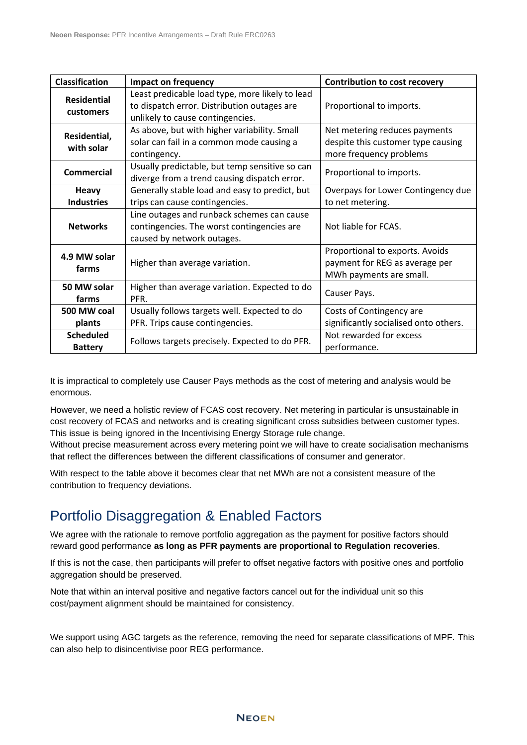| <b>Classification</b>              | <b>Impact on frequency</b>                                                                                                         | <b>Contribution to cost recovery</b>                                                           |
|------------------------------------|------------------------------------------------------------------------------------------------------------------------------------|------------------------------------------------------------------------------------------------|
| <b>Residential</b><br>customers    | Least predicable load type, more likely to lead<br>to dispatch error. Distribution outages are<br>unlikely to cause contingencies. | Proportional to imports.                                                                       |
| Residential,<br>with solar         | As above, but with higher variability. Small<br>solar can fail in a common mode causing a<br>contingency.                          | Net metering reduces payments<br>despite this customer type causing<br>more frequency problems |
| <b>Commercial</b>                  | Usually predictable, but temp sensitive so can<br>diverge from a trend causing dispatch error.                                     | Proportional to imports.                                                                       |
| <b>Heavy</b>                       | Generally stable load and easy to predict, but                                                                                     | Overpays for Lower Contingency due                                                             |
| <b>Industries</b>                  | trips can cause contingencies.                                                                                                     | to net metering.                                                                               |
| <b>Networks</b>                    | Line outages and runback schemes can cause<br>contingencies. The worst contingencies are<br>caused by network outages.             | Not liable for FCAS.                                                                           |
| 4.9 MW solar<br>farms              | Higher than average variation.                                                                                                     | Proportional to exports. Avoids<br>payment for REG as average per<br>MWh payments are small.   |
| 50 MW solar<br>farms               | Higher than average variation. Expected to do<br>PFR.                                                                              | Causer Pays.                                                                                   |
| 500 MW coal<br>plants              | Usually follows targets well. Expected to do<br>PFR. Trips cause contingencies.                                                    | Costs of Contingency are<br>significantly socialised onto others.                              |
| <b>Scheduled</b><br><b>Battery</b> | Follows targets precisely. Expected to do PFR.                                                                                     | Not rewarded for excess<br>performance.                                                        |

It is impractical to completely use Causer Pays methods as the cost of metering and analysis would be enormous.

However, we need a holistic review of FCAS cost recovery. Net metering in particular is unsustainable in cost recovery of FCAS and networks and is creating significant cross subsidies between customer types. This issue is being ignored in the Incentivising Energy Storage rule change.

Without precise measurement across every metering point we will have to create socialisation mechanisms that reflect the differences between the different classifications of consumer and generator.

With respect to the table above it becomes clear that net MWh are not a consistent measure of the contribution to frequency deviations.

## Portfolio Disaggregation & Enabled Factors

We agree with the rationale to remove portfolio aggregation as the payment for positive factors should reward good performance **as long as PFR payments are proportional to Regulation recoveries**.

If this is not the case, then participants will prefer to offset negative factors with positive ones and portfolio aggregation should be preserved.

Note that within an interval positive and negative factors cancel out for the individual unit so this cost/payment alignment should be maintained for consistency.

We support using AGC targets as the reference, removing the need for separate classifications of MPF. This can also help to disincentivise poor REG performance.